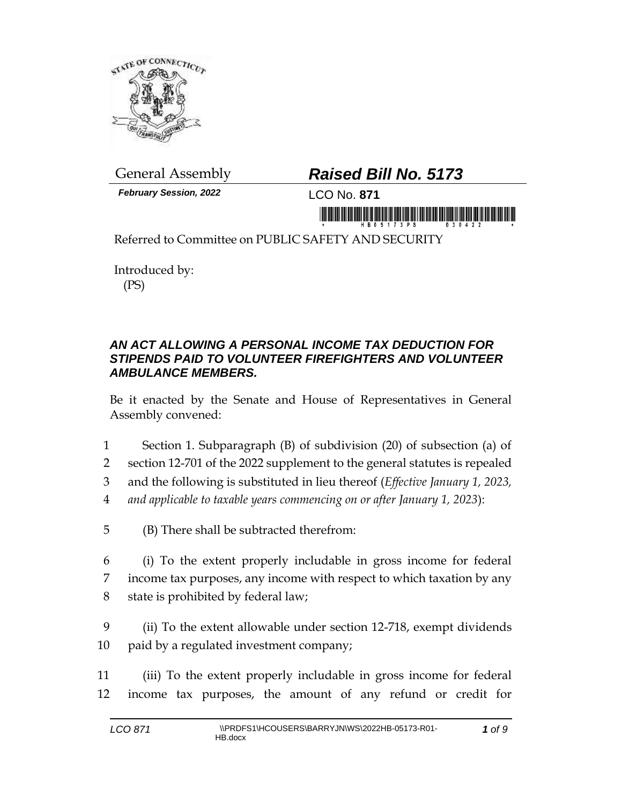

*February Session, 2022* LCO No. **871**

## General Assembly *Raised Bill No. 5173*

Referred to Committee on PUBLIC SAFETY AND SECURITY

Introduced by: (PS)

## *AN ACT ALLOWING A PERSONAL INCOME TAX DEDUCTION FOR STIPENDS PAID TO VOLUNTEER FIREFIGHTERS AND VOLUNTEER AMBULANCE MEMBERS.*

Be it enacted by the Senate and House of Representatives in General Assembly convened:

- 1 Section 1. Subparagraph (B) of subdivision (20) of subsection (a) of
- 2 section 12-701 of the 2022 supplement to the general statutes is repealed
- 3 and the following is substituted in lieu thereof (*Effective January 1, 2023,*
- 4 *and applicable to taxable years commencing on or after January 1, 2023*):
- 5 (B) There shall be subtracted therefrom:
- 6 (i) To the extent properly includable in gross income for federal 7 income tax purposes, any income with respect to which taxation by any 8 state is prohibited by federal law;
- 9 (ii) To the extent allowable under section 12-718, exempt dividends 10 paid by a regulated investment company;
- 11 (iii) To the extent properly includable in gross income for federal 12 income tax purposes, the amount of any refund or credit for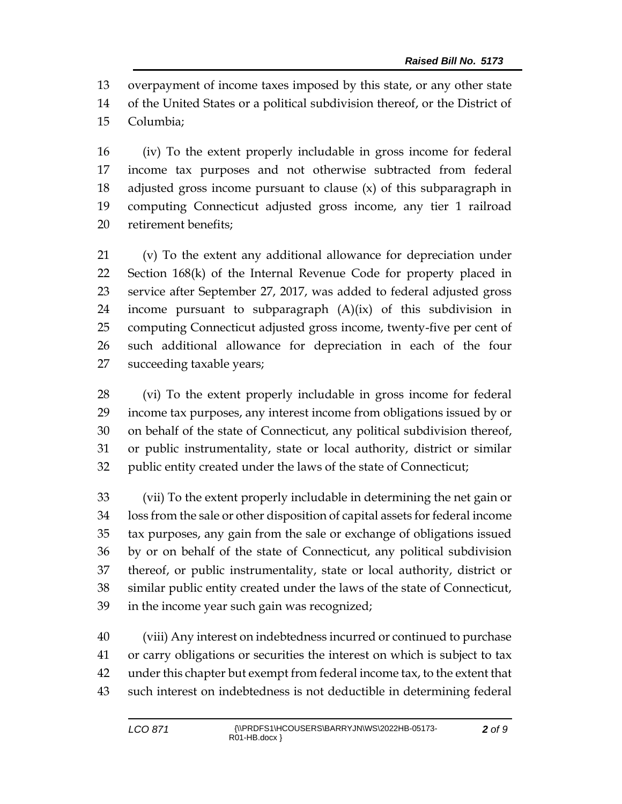overpayment of income taxes imposed by this state, or any other state of the United States or a political subdivision thereof, or the District of Columbia;

 (iv) To the extent properly includable in gross income for federal income tax purposes and not otherwise subtracted from federal adjusted gross income pursuant to clause (x) of this subparagraph in computing Connecticut adjusted gross income, any tier 1 railroad retirement benefits;

 (v) To the extent any additional allowance for depreciation under Section 168(k) of the Internal Revenue Code for property placed in service after September 27, 2017, was added to federal adjusted gross income pursuant to subparagraph (A)(ix) of this subdivision in computing Connecticut adjusted gross income, twenty-five per cent of such additional allowance for depreciation in each of the four succeeding taxable years;

 (vi) To the extent properly includable in gross income for federal income tax purposes, any interest income from obligations issued by or on behalf of the state of Connecticut, any political subdivision thereof, or public instrumentality, state or local authority, district or similar public entity created under the laws of the state of Connecticut;

 (vii) To the extent properly includable in determining the net gain or loss from the sale or other disposition of capital assets for federal income tax purposes, any gain from the sale or exchange of obligations issued by or on behalf of the state of Connecticut, any political subdivision thereof, or public instrumentality, state or local authority, district or similar public entity created under the laws of the state of Connecticut, in the income year such gain was recognized;

 (viii) Any interest on indebtedness incurred or continued to purchase or carry obligations or securities the interest on which is subject to tax under this chapter but exempt from federal income tax, to the extent that such interest on indebtedness is not deductible in determining federal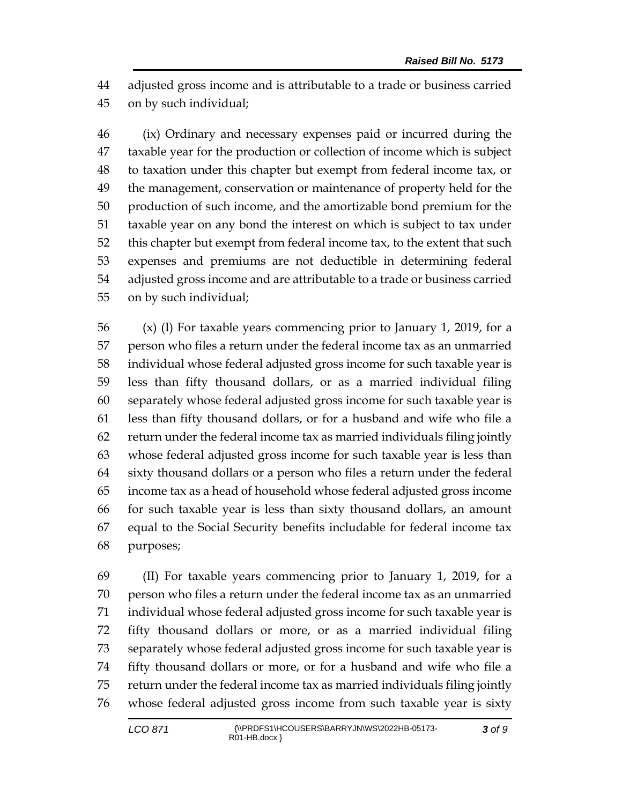adjusted gross income and is attributable to a trade or business carried on by such individual;

 (ix) Ordinary and necessary expenses paid or incurred during the taxable year for the production or collection of income which is subject to taxation under this chapter but exempt from federal income tax, or the management, conservation or maintenance of property held for the production of such income, and the amortizable bond premium for the taxable year on any bond the interest on which is subject to tax under this chapter but exempt from federal income tax, to the extent that such expenses and premiums are not deductible in determining federal adjusted gross income and are attributable to a trade or business carried on by such individual;

 (x) (I) For taxable years commencing prior to January 1, 2019, for a person who files a return under the federal income tax as an unmarried individual whose federal adjusted gross income for such taxable year is less than fifty thousand dollars, or as a married individual filing separately whose federal adjusted gross income for such taxable year is less than fifty thousand dollars, or for a husband and wife who file a return under the federal income tax as married individuals filing jointly whose federal adjusted gross income for such taxable year is less than sixty thousand dollars or a person who files a return under the federal income tax as a head of household whose federal adjusted gross income for such taxable year is less than sixty thousand dollars, an amount equal to the Social Security benefits includable for federal income tax purposes;

 (II) For taxable years commencing prior to January 1, 2019, for a person who files a return under the federal income tax as an unmarried individual whose federal adjusted gross income for such taxable year is fifty thousand dollars or more, or as a married individual filing separately whose federal adjusted gross income for such taxable year is fifty thousand dollars or more, or for a husband and wife who file a return under the federal income tax as married individuals filing jointly whose federal adjusted gross income from such taxable year is sixty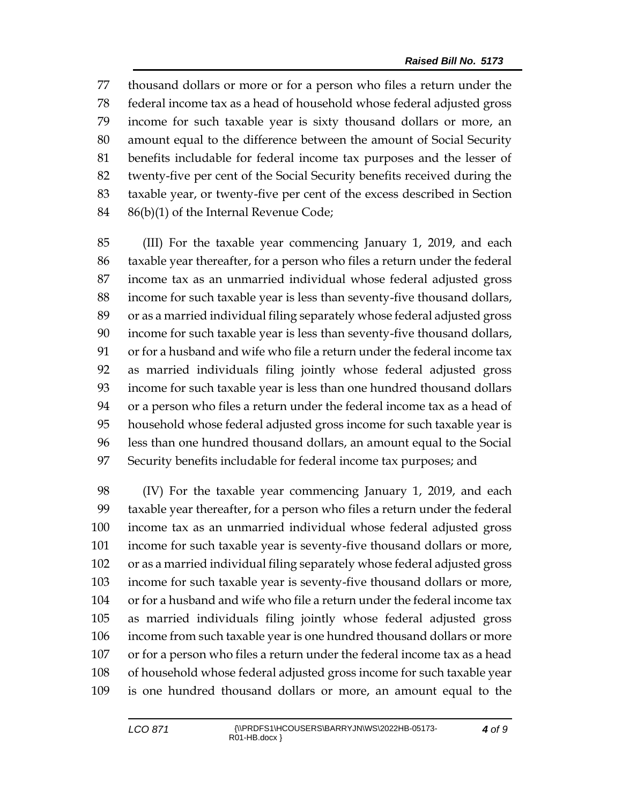thousand dollars or more or for a person who files a return under the federal income tax as a head of household whose federal adjusted gross income for such taxable year is sixty thousand dollars or more, an amount equal to the difference between the amount of Social Security benefits includable for federal income tax purposes and the lesser of twenty-five per cent of the Social Security benefits received during the taxable year, or twenty-five per cent of the excess described in Section 86(b)(1) of the Internal Revenue Code;

 (III) For the taxable year commencing January 1, 2019, and each taxable year thereafter, for a person who files a return under the federal income tax as an unmarried individual whose federal adjusted gross income for such taxable year is less than seventy-five thousand dollars, or as a married individual filing separately whose federal adjusted gross income for such taxable year is less than seventy-five thousand dollars, or for a husband and wife who file a return under the federal income tax as married individuals filing jointly whose federal adjusted gross income for such taxable year is less than one hundred thousand dollars or a person who files a return under the federal income tax as a head of household whose federal adjusted gross income for such taxable year is less than one hundred thousand dollars, an amount equal to the Social Security benefits includable for federal income tax purposes; and

 (IV) For the taxable year commencing January 1, 2019, and each taxable year thereafter, for a person who files a return under the federal income tax as an unmarried individual whose federal adjusted gross income for such taxable year is seventy-five thousand dollars or more, or as a married individual filing separately whose federal adjusted gross income for such taxable year is seventy-five thousand dollars or more, or for a husband and wife who file a return under the federal income tax as married individuals filing jointly whose federal adjusted gross income from such taxable year is one hundred thousand dollars or more or for a person who files a return under the federal income tax as a head of household whose federal adjusted gross income for such taxable year is one hundred thousand dollars or more, an amount equal to the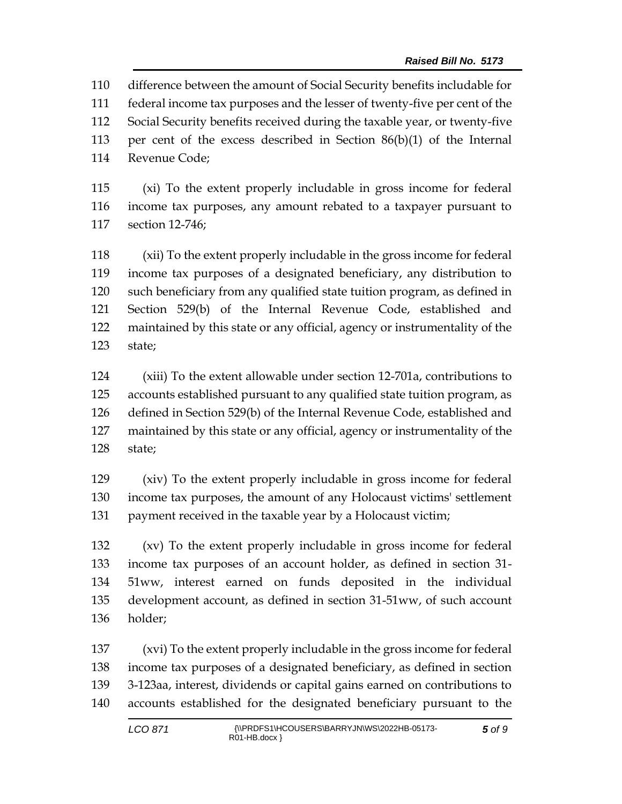difference between the amount of Social Security benefits includable for federal income tax purposes and the lesser of twenty-five per cent of the Social Security benefits received during the taxable year, or twenty-five per cent of the excess described in Section 86(b)(1) of the Internal Revenue Code;

 (xi) To the extent properly includable in gross income for federal income tax purposes, any amount rebated to a taxpayer pursuant to section 12-746;

 (xii) To the extent properly includable in the gross income for federal income tax purposes of a designated beneficiary, any distribution to such beneficiary from any qualified state tuition program, as defined in Section 529(b) of the Internal Revenue Code, established and maintained by this state or any official, agency or instrumentality of the state;

 (xiii) To the extent allowable under section 12-701a, contributions to accounts established pursuant to any qualified state tuition program, as defined in Section 529(b) of the Internal Revenue Code, established and maintained by this state or any official, agency or instrumentality of the state;

 (xiv) To the extent properly includable in gross income for federal income tax purposes, the amount of any Holocaust victims' settlement payment received in the taxable year by a Holocaust victim;

 (xv) To the extent properly includable in gross income for federal income tax purposes of an account holder, as defined in section 31- 51ww, interest earned on funds deposited in the individual development account, as defined in section 31-51ww, of such account holder;

 (xvi) To the extent properly includable in the gross income for federal income tax purposes of a designated beneficiary, as defined in section 3-123aa, interest, dividends or capital gains earned on contributions to accounts established for the designated beneficiary pursuant to the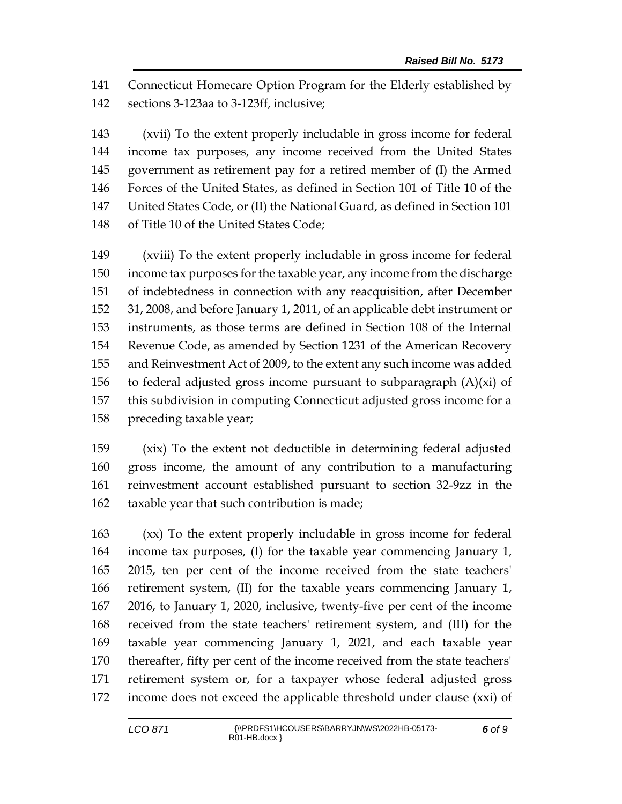Connecticut Homecare Option Program for the Elderly established by sections 3-123aa to 3-123ff, inclusive;

 (xvii) To the extent properly includable in gross income for federal income tax purposes, any income received from the United States government as retirement pay for a retired member of (I) the Armed Forces of the United States, as defined in Section 101 of Title 10 of the United States Code, or (II) the National Guard, as defined in Section 101 of Title 10 of the United States Code;

 (xviii) To the extent properly includable in gross income for federal income tax purposes for the taxable year, any income from the discharge of indebtedness in connection with any reacquisition, after December 31, 2008, and before January 1, 2011, of an applicable debt instrument or instruments, as those terms are defined in Section 108 of the Internal Revenue Code, as amended by Section 1231 of the American Recovery and Reinvestment Act of 2009, to the extent any such income was added 156 to federal adjusted gross income pursuant to subparagraph  $(A)(xi)$  of this subdivision in computing Connecticut adjusted gross income for a preceding taxable year;

 (xix) To the extent not deductible in determining federal adjusted gross income, the amount of any contribution to a manufacturing reinvestment account established pursuant to section 32-9zz in the taxable year that such contribution is made;

 (xx) To the extent properly includable in gross income for federal income tax purposes, (I) for the taxable year commencing January 1, 2015, ten per cent of the income received from the state teachers' retirement system, (II) for the taxable years commencing January 1, 2016, to January 1, 2020, inclusive, twenty-five per cent of the income received from the state teachers' retirement system, and (III) for the taxable year commencing January 1, 2021, and each taxable year thereafter, fifty per cent of the income received from the state teachers' retirement system or, for a taxpayer whose federal adjusted gross income does not exceed the applicable threshold under clause (xxi) of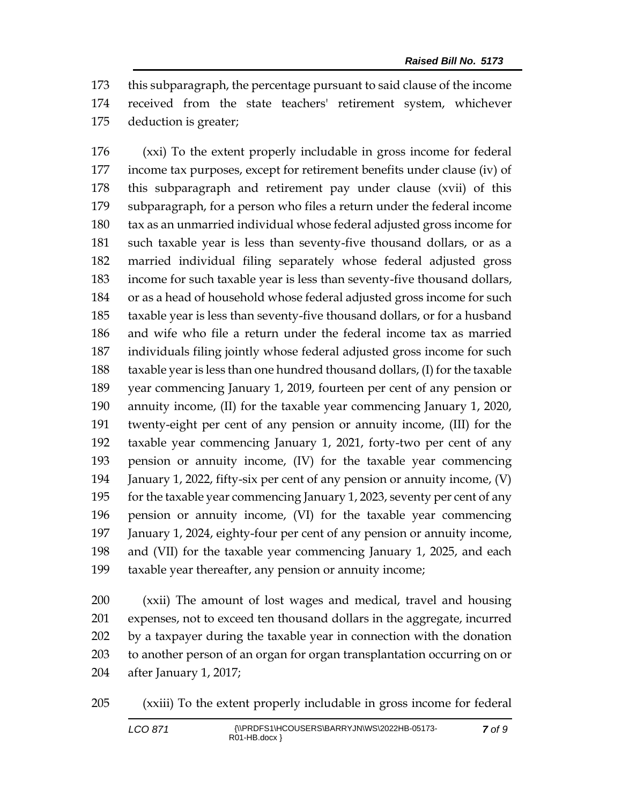this subparagraph, the percentage pursuant to said clause of the income received from the state teachers' retirement system, whichever deduction is greater;

 (xxi) To the extent properly includable in gross income for federal income tax purposes, except for retirement benefits under clause (iv) of this subparagraph and retirement pay under clause (xvii) of this subparagraph, for a person who files a return under the federal income tax as an unmarried individual whose federal adjusted gross income for such taxable year is less than seventy-five thousand dollars, or as a married individual filing separately whose federal adjusted gross income for such taxable year is less than seventy-five thousand dollars, or as a head of household whose federal adjusted gross income for such taxable year is less than seventy-five thousand dollars, or for a husband and wife who file a return under the federal income tax as married individuals filing jointly whose federal adjusted gross income for such taxable year is less than one hundred thousand dollars, (I) for the taxable year commencing January 1, 2019, fourteen per cent of any pension or annuity income, (II) for the taxable year commencing January 1, 2020, twenty-eight per cent of any pension or annuity income, (III) for the taxable year commencing January 1, 2021, forty-two per cent of any pension or annuity income, (IV) for the taxable year commencing January 1, 2022, fifty-six per cent of any pension or annuity income, (V) for the taxable year commencing January 1, 2023, seventy per cent of any pension or annuity income, (VI) for the taxable year commencing January 1, 2024, eighty-four per cent of any pension or annuity income, and (VII) for the taxable year commencing January 1, 2025, and each taxable year thereafter, any pension or annuity income;

 (xxii) The amount of lost wages and medical, travel and housing expenses, not to exceed ten thousand dollars in the aggregate, incurred by a taxpayer during the taxable year in connection with the donation to another person of an organ for organ transplantation occurring on or after January 1, 2017;

(xxiii) To the extent properly includable in gross income for federal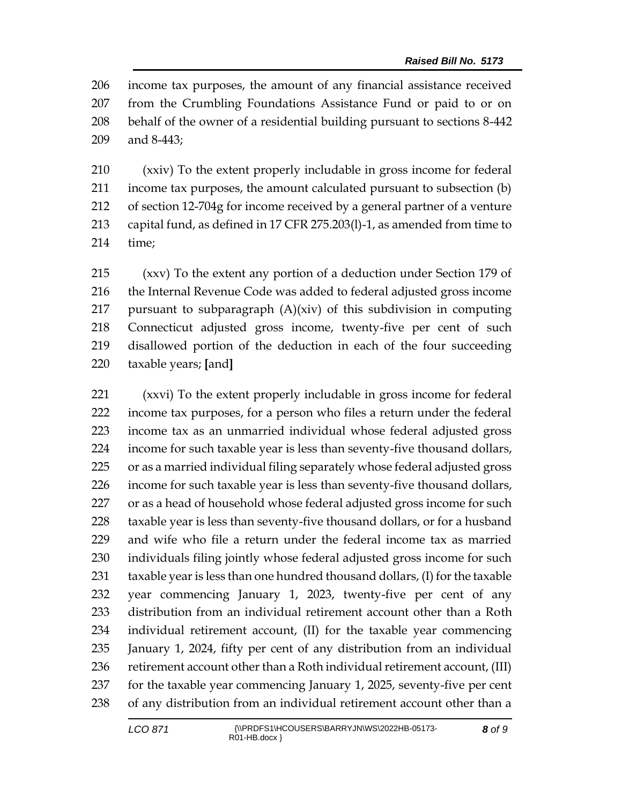income tax purposes, the amount of any financial assistance received from the Crumbling Foundations Assistance Fund or paid to or on behalf of the owner of a residential building pursuant to sections 8-442 and 8-443;

 (xxiv) To the extent properly includable in gross income for federal income tax purposes, the amount calculated pursuant to subsection (b) of section 12-704g for income received by a general partner of a venture capital fund, as defined in 17 CFR 275.203(l)-1, as amended from time to time;

 (xxv) To the extent any portion of a deduction under Section 179 of 216 the Internal Revenue Code was added to federal adjusted gross income pursuant to subparagraph (A)(xiv) of this subdivision in computing Connecticut adjusted gross income, twenty-five per cent of such disallowed portion of the deduction in each of the four succeeding taxable years; **[**and**]**

 (xxvi) To the extent properly includable in gross income for federal income tax purposes, for a person who files a return under the federal income tax as an unmarried individual whose federal adjusted gross income for such taxable year is less than seventy-five thousand dollars, or as a married individual filing separately whose federal adjusted gross income for such taxable year is less than seventy-five thousand dollars, 227 or as a head of household whose federal adjusted gross income for such taxable year is less than seventy-five thousand dollars, or for a husband and wife who file a return under the federal income tax as married individuals filing jointly whose federal adjusted gross income for such taxable year is less than one hundred thousand dollars, (I) for the taxable year commencing January 1, 2023, twenty-five per cent of any distribution from an individual retirement account other than a Roth individual retirement account, (II) for the taxable year commencing January 1, 2024, fifty per cent of any distribution from an individual 236 retirement account other than a Roth individual retirement account, (III) for the taxable year commencing January 1, 2025, seventy-five per cent of any distribution from an individual retirement account other than a